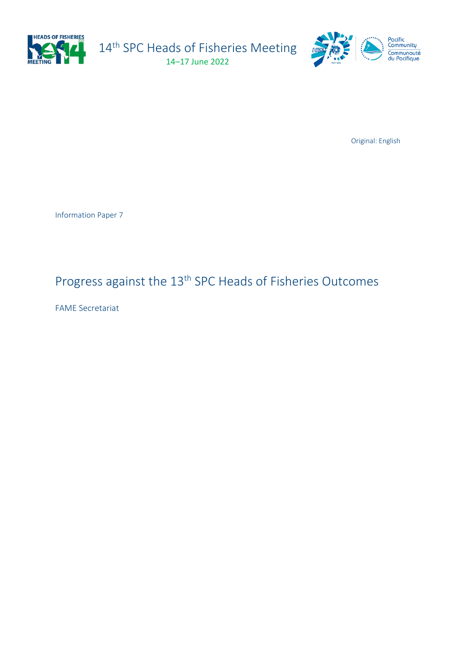

14<sup>th</sup> SPC Heads of Fisheries Meeting 14–17 June 2022



Original: English

Information Paper 7

# Progress against the 13<sup>th</sup> SPC Heads of Fisheries Outcomes

FAME Secretariat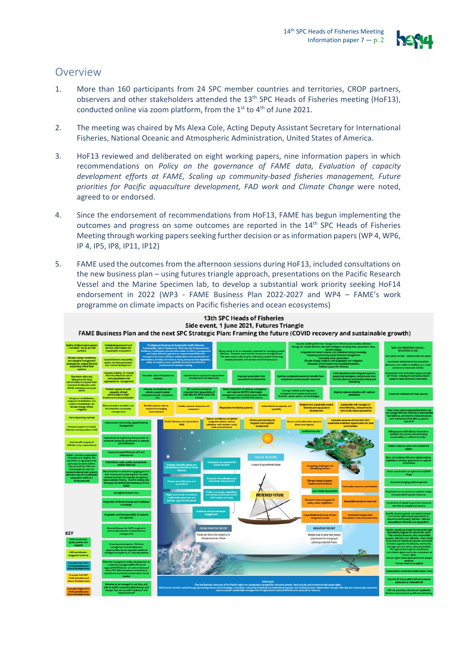

### Overview

- 1. More than 160 participants from 24 SPC member countries and territories, CROP partners, observers and other stakeholders attended the 13<sup>th</sup> SPC Heads of Fisheries meeting (HoF13), conducted online via zoom platform, from the  $1<sup>st</sup>$  to  $4<sup>th</sup>$  of June 2021.
- 2. The meeting was chaired by Ms Alexa Cole, Acting Deputy Assistant Secretary for International Fisheries, National Oceanic and Atmospheric Administration, United States of America.
- 3. HoF13 reviewed and deliberated on eight working papers, nine information papers in which recommendations on *Policy on the governance of FAME data, Evaluation of capacity development efforts at FAME, Scaling up community-based fisheries management, Future priorities for Pacific aquaculture development, FAD work and Climate Change were noted,* agreed to or endorsed.
- 4. Since the endorsement of recommendations from HoF13, FAME has begun implementing the outcomes and progress on some outcomes are reported in the  $14<sup>th</sup>$  SPC Heads of Fisheries Meeting through working papers seeking further decision or as information papers (WP 4, WP6, IP 4, IP5, IP8, IP11, IP12)
- 5. FAME used the outcomes from the afternoon sessions during HoF13, included consultations on the new business plan – using futures triangle approach, presentations on the Pacific Research Vessel and the Marine Specimen lab, to develop a substantial work priority seeking HoF14 endorsement in 2022 (WP3 - FAME Business Plan 2022-2027 and WP4 – FAME's work programme on climate impacts on Pacific fisheries and ocean ecosystems)

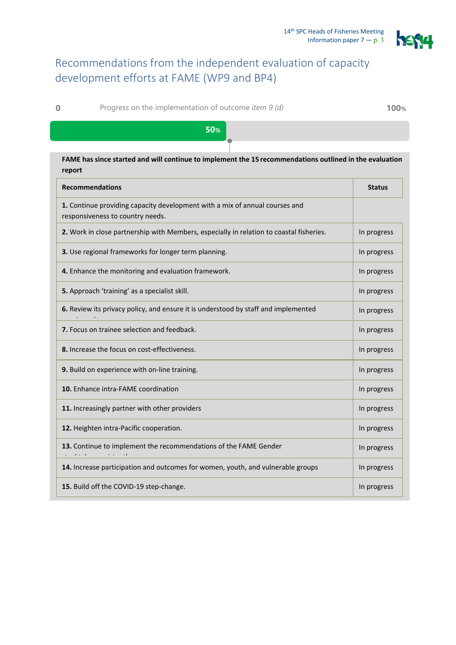

## Recommendations from the independent evaluation of capacity development efforts at FAME (WP9 and BP4)

**0** Progress on the implementation of outcome *item 9 (d)* **100%**

### **50%**

### **FAME has since started and will continue to implement the 15 recommendations outlined in the evaluation report**

| <b>Recommendations</b>                                                                                          | <b>Status</b> |
|-----------------------------------------------------------------------------------------------------------------|---------------|
| 1. Continue providing capacity development with a mix of annual courses and<br>responsiveness to country needs. |               |
| 2. Work in close partnership with Members, especially in relation to coastal fisheries.                         | In progress   |
| 3. Use regional frameworks for longer term planning.                                                            | In progress   |
| 4. Enhance the monitoring and evaluation framework.                                                             | In progress   |
| 5. Approach 'training' as a specialist skill.                                                                   | In progress   |
| 6. Review its privacy policy, and ensure it is understood by staff and implemented                              | In progress   |
| <b>7.</b> Focus on trainee selection and feedback.                                                              | In progress   |
| 8. Increase the focus on cost-effectiveness.                                                                    | In progress   |
| 9. Build on experience with on-line training.                                                                   | In progress   |
| 10. Enhance intra-FAME coordination                                                                             | In progress   |
| 11. Increasingly partner with other providers                                                                   | In progress   |
| 12. Heighten intra-Pacific cooperation.                                                                         | In progress   |
| 13. Continue to implement the recommendations of the FAME Gender                                                | In progress   |
| 14. Increase participation and outcomes for women, youth, and vulnerable groups                                 | In progress   |
| 15. Build off the COVID-19 step-change.                                                                         | In progress   |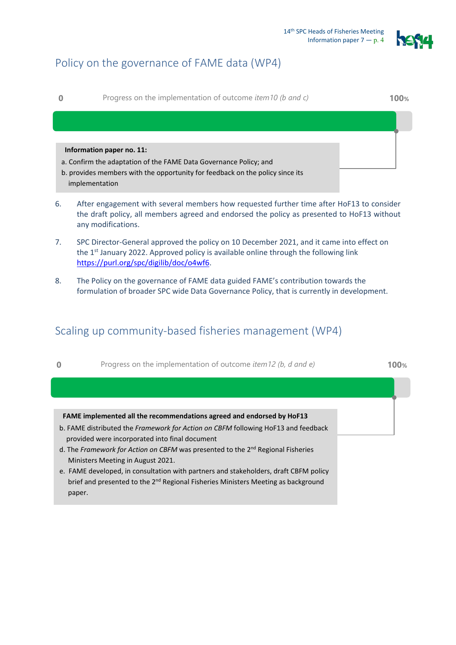

## Policy on the governance of FAME data (WP4)

**0** Progress on the implementation of outcome *item10 (b and c)* **100%**

#### **Information paper no. 11:**

- a. Confirm the adaptation of the FAME Data Governance Policy; and
- b. provides members with the opportunity for feedback on the policy since its implementation
- 6. After engagement with several members how requested further time after HoF13 to consider the draft policy, all members agreed and endorsed the policy as presented to HoF13 without any modifications.
- 7. SPC Director-General approved the policy on 10 December 2021, and it came into effect on the 1<sup>st</sup> January 2022. Approved policy is available online through the following link [https://purl.org/spc/digilib/doc/o4wf6.](https://purl.org/spc/digilib/doc/o4wf6)
- 8. The Policy on the governance of FAME data guided FAME's contribution towards the formulation of broader SPC wide Data Governance Policy, that is currently in development.

### Scaling up community-based fisheries management (WP4)

| $\bf{0}$ | Progress on the implementation of outcome <i>item 12 (b, d and e)</i>                | 100% |
|----------|--------------------------------------------------------------------------------------|------|
|          |                                                                                      |      |
|          |                                                                                      |      |
|          | FAME implemented all the recommendations agreed and endorsed by HoF13                |      |
|          | b. FAME distributed the Framework for Action on CBFM following HoF13 and feedback    |      |
|          | provided were incorporated into final document                                       |      |
|          | d. The Framework for Action on CBFM was presented to the $2^{nd}$ Regional Fisheries |      |
|          | Ministers Meeting in August 2021.                                                    |      |
|          | e. FAME developed, in consultation with partners and stakeholders, draft CBFM policy |      |

brief and presented to the 2<sup>nd</sup> Regional Fisheries Ministers Meeting as background paper.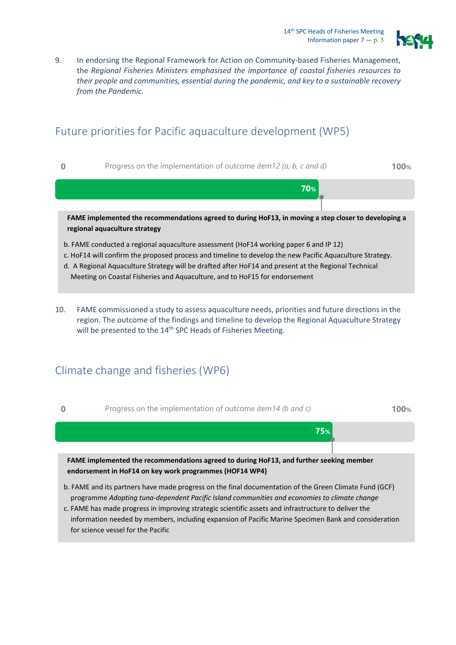

9. In endorsing the Regional Framework for Action on Community-based Fisheries Management, the *Regional Fisheries Ministers emphasised the importance of coastal fisheries resources to their people and communities, essential during the pandemic, and key to a sustainable recovery from the Pandemic.* 

## Future priorities for Pacific aquaculture development (WP5)

**0** Progress on the implementation of outcome *item12 (a, b, c and d)* **100%**



- b. FAME conducted a regional aquaculture assessment (HoF14 working paper 6 and IP 12)
- c. HoF14 will confirm the proposed process and timeline to develop the new Pacific Aquaculture Strategy.
- d. A Regional Aquaculture Strategy will be drafted after HoF14 and present at the Regional Technical
- Meeting on Coastal Fisheries and Aquaculture, and to HoF15 for endorsement
- 10. FAME commissioned a study to assess aquaculture needs, priorities and future directions in the region. The outcome of the findings and timeline to develop the Regional Aquaculture Strategy will be presented to the 14<sup>th</sup> SPC Heads of Fisheries Meeting.

### Climate change and fisheries (WP6)